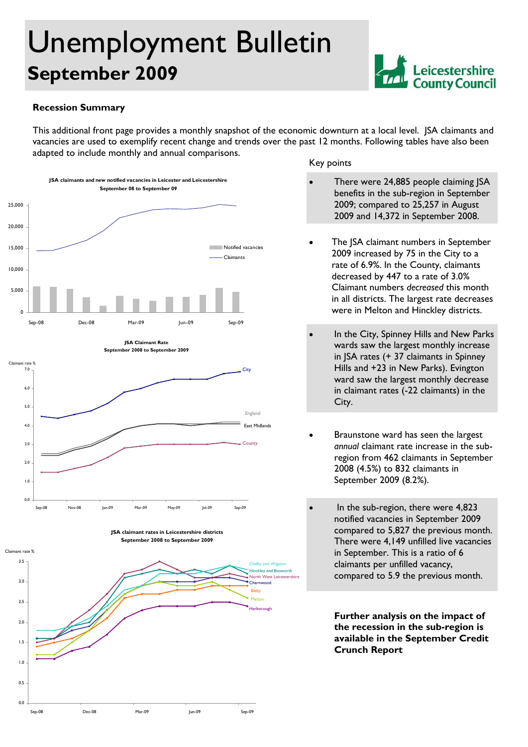# Unemployment Bulletin **September 2009**



#### **Recession Summary**

 $0.0$ 

0.5

1.0

1.5

 $2.0$ 

This additional front page provides a monthly snapshot of the economic downturn at a local level. JSA claimants and vacancies are used to exemplify recent change and trends over the past 12 months. Following tables have also been adapted to include monthly and annual comparisons.



Sep-08 Dec-08 Mar-09 Jun-09 Sep-09

#### Key points

- There were 24,885 people claiming JSA benefits in the sub-region in September 2009; compared to 25,257 in August 2009 and 14,372 in September 2008.
- The JSA claimant numbers in September 2009 increased by 75 in the City to a rate of 6.9%. In the County, claimants decreased by 447 to a rate of 3.0% Claimant numbers *decreased* this month in all districts. The largest rate decreases were in Melton and Hinckley districts.
- In the City, Spinney Hills and New Parks wards saw the largest monthly increase in JSA rates (+ 37 claimants in Spinney Hills and +23 in New Parks). Evington ward saw the largest monthly decrease in claimant rates (-22 claimants) in the City.
- Braunstone ward has seen the largest *annual* claimant rate increase in the subregion from 462 claimants in September 2008 (4.5%) to 832 claimants in September 2009 (8.2%).
- In the sub-region, there were 4,823 notified vacancies in September 2009 compared to 5,827 the previous month. There were 4,149 unfilled live vacancies in September. This is a ratio of 6 claimants per unfilled vacancy, compared to 5.9 the previous month.

**Further analysis on the impact of the recession in the sub-region is available in the September Credit Crunch Report**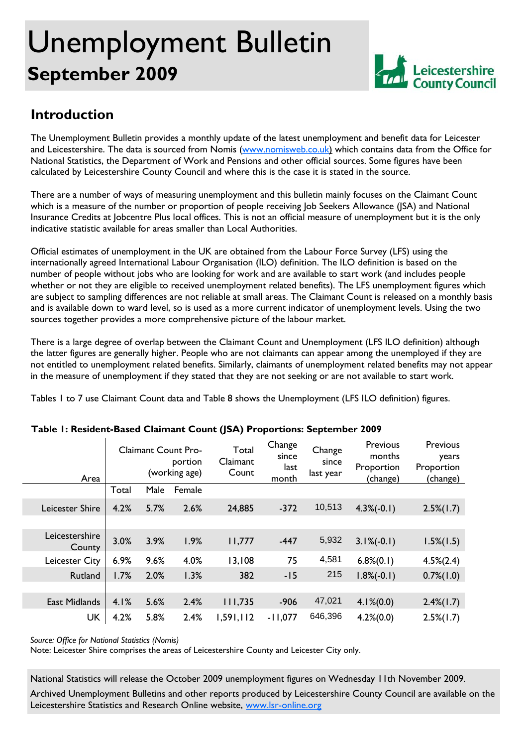# Unemployment Bulletin **September 2009**



## **Introduction**

The Unemployment Bulletin provides a monthly update of the latest unemployment and benefit data for Leicester and Leicestershire. The data is sourced from Nomis (www.nomisweb.co.uk) which contains data from the Office for National Statistics, the Department of Work and Pensions and other official sources. Some figures have been calculated by Leicestershire County Council and where this is the case it is stated in the source.

There are a number of ways of measuring unemployment and this bulletin mainly focuses on the Claimant Count which is a measure of the number or proportion of people receiving Job Seekers Allowance (JSA) and National Insurance Credits at Jobcentre Plus local offices. This is not an official measure of unemployment but it is the only indicative statistic available for areas smaller than Local Authorities.

Official estimates of unemployment in the UK are obtained from the Labour Force Survey (LFS) using the internationally agreed International Labour Organisation (ILO) definition. The ILO definition is based on the number of people without jobs who are looking for work and are available to start work (and includes people whether or not they are eligible to received unemployment related benefits). The LFS unemployment figures which are subject to sampling differences are not reliable at small areas. The Claimant Count is released on a monthly basis and is available down to ward level, so is used as a more current indicator of unemployment levels. Using the two sources together provides a more comprehensive picture of the labour market.

There is a large degree of overlap between the Claimant Count and Unemployment (LFS ILO definition) although the latter figures are generally higher. People who are not claimants can appear among the unemployed if they are not entitled to unemployment related benefits. Similarly, claimants of unemployment related benefits may not appear in the measure of unemployment if they stated that they are not seeking or are not available to start work.

Tables 1 to 7 use Claimant Count data and Table 8 shows the Unemployment (LFS ILO definition) figures.

| Area                     | <b>Claimant Count Pro-</b><br>portion<br>(working age) |      | Total<br>Claimant<br>Count | Change<br>since<br>last<br>month | Change<br>since<br>last year | Previous<br>months<br>Proportion<br>(change) | Previous<br>years<br>Proportion<br>(change) |                 |
|--------------------------|--------------------------------------------------------|------|----------------------------|----------------------------------|------------------------------|----------------------------------------------|---------------------------------------------|-----------------|
|                          | Total                                                  | Male | Female                     |                                  |                              |                                              |                                             |                 |
| Leicester Shire          | 4.2%                                                   | 5.7% | 2.6%                       | 24,885                           | $-372$                       | 10,513                                       | $4.3\%(-0.1)$                               | $2.5\%(1.7)$    |
|                          |                                                        |      |                            |                                  |                              |                                              |                                             |                 |
| Leicestershire<br>County | 3.0%                                                   | 3.9% | 1.9%                       | 11,777                           | $-447$                       | 5,932                                        | $3.1\%(-0.1)$                               | $1.5\%(1.5)$    |
| Leicester City           | 6.9%                                                   | 9.6% | 4.0%                       | 13,108                           | 75                           | 4,581                                        | $6.8\%(0.1)$                                | $4.5\%(2.4)$    |
| Rutland                  | 1.7%                                                   | 2.0% | 1.3%                       | 382                              | $-15$                        | 215                                          | $1.8\%(-0.1)$                               | $0.7\%$ (1.0)   |
|                          |                                                        |      |                            |                                  |                              |                                              |                                             |                 |
| East Midlands            | 4.1%                                                   | 5.6% | 2.4%                       | 111,735                          | $-906$                       | 47,021                                       | $4.1\%(0.0)$                                | $2.4\%(1.7)$    |
| <b>UK</b>                | 4.2%                                                   | 5.8% | 2.4%                       | 1,591,112                        | $-11,077$                    | 646,396                                      | $4.2\%(0.0)$                                | $2.5\%$ $(1.7)$ |

## **Table 1: Resident-Based Claimant Count (JSA) Proportions: September 2009**

*Source: Office for National Statistics (Nomis)* 

Note: Leicester Shire comprises the areas of Leicestershire County and Leicester City only.

National Statistics will release the October 2009 unemployment figures on Wednesday 11th November 2009.

Archived Unemployment Bulletins and other reports produced by Leicestershire County Council are available on the Leicestershire Statistics and Research Online website, www.lsr-online.org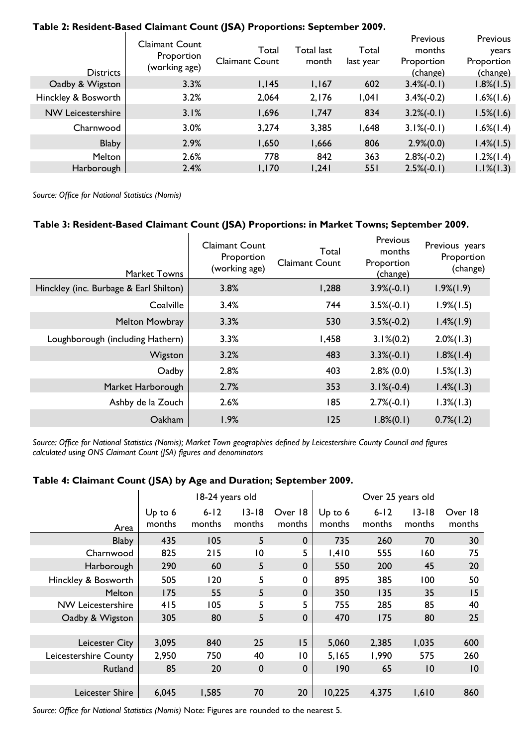| <b>Districts</b>         | <b>Claimant Count</b><br>Proportion<br>(working age) | Total<br><b>Claimant Count</b> | Total last<br>month | Total<br>last year | <b>Previous</b><br>months<br>Proportion<br>(change) | <b>Previous</b><br>years<br>Proportion<br>(change) |
|--------------------------|------------------------------------------------------|--------------------------------|---------------------|--------------------|-----------------------------------------------------|----------------------------------------------------|
| Oadby & Wigston          | 3.3%                                                 | 1,145                          | 1,167               | 602                | $3.4\%(-0.1)$                                       | $1.8\%(1.5)$                                       |
| Hinckley & Bosworth      | 3.2%                                                 | 2,064                          | 2,176               | 1,041              | $3.4\%(-0.2)$                                       | $1.6\%(1.6)$                                       |
| <b>NW Leicestershire</b> | 3.1%                                                 | 1,696                          | 1,747               | 834                | $3.2\%(-0.1)$                                       | $1.5\%(1.6)$                                       |
| Charnwood                | 3.0%                                                 | 3,274                          | 3,385               | 1,648              | $3.1\%(-0.1)$                                       | $1.6\%$ (1.4)                                      |
| <b>Blaby</b>             | 2.9%                                                 | 1,650                          | 1,666               | 806                | $2.9\%(0.0)$                                        | $1.4\%$ $(1.5)$                                    |
| <b>Melton</b>            | 2.6%                                                 | 778                            | 842                 | 363                | $2.8\%(-0.2)$                                       | $1.2\%$ (1.4)                                      |
| Harborough               | 2.4%                                                 | 1,170                          | 1,241               | 55 I               | $2.5\%(-0.1)$                                       | $1.1\%$ (1.3)                                      |

#### **Table 2: Resident-Based Claimant Count (JSA) Proportions: September 2009.**

*Source: Office for National Statistics (Nomis)* 

## **Table 3: Resident-Based Claimant Count (JSA) Proportions: in Market Towns; September 2009.**

| <b>Claimant Count</b><br>Proportion<br>(working age) | Total<br><b>Claimant Count</b> | Previous<br>months<br>Proportion<br>(change) | Previous years<br>Proportion<br>(change) |
|------------------------------------------------------|--------------------------------|----------------------------------------------|------------------------------------------|
| 3.8%                                                 | 1,288                          | $3.9\%(-0.1)$                                | $1.9\% (1.9)$                            |
| 3.4%                                                 | 744                            | $3.5\%(-0.1)$                                | $1.9\%(1.5)$                             |
| 3.3%                                                 | 530                            | $3.5\%(-0.2)$                                | $1.4\%(1.9)$                             |
| 3.3%                                                 | 1,458                          | $3.1\%(0.2)$                                 | $2.0\%$ (1.3)                            |
| 3.2%                                                 | 483                            | $3.3\%(-0.1)$                                | $1.8\%$ $(1.4)$                          |
| 2.8%                                                 | 403                            | $2.8\%$ (0.0)                                | $1.5\%(1.3)$                             |
| 2.7%                                                 | 353                            | $3.1\%(-0.4)$                                | $1.4\%$ (1.3)                            |
| 2.6%                                                 | 185                            | $2.7\%(-0.1)$                                | $1.3\%$ (1.3)                            |
| 1.9%                                                 | 125                            | $1.8\%(0.1)$                                 | $0.7\%$ $(1.2)$                          |
|                                                      |                                |                                              |                                          |

*Source: Office for National Statistics (Nomis); Market Town geographies defined by Leicestershire County Council and figures calculated using ONS Claimant Count (JSA) figures and denominators* 

#### **Table 4: Claimant Count (JSA) by Age and Duration; September 2009.**

|                          |                     | 18-24 years old<br>Over 25 years old |                     |                   |                   |                  |                     |                   |
|--------------------------|---------------------|--------------------------------------|---------------------|-------------------|-------------------|------------------|---------------------|-------------------|
| Area                     | $Up$ to 6<br>months | $6 - 12$<br>months                   | $13 - 18$<br>months | Over 18<br>months | Up to 6<br>months | $6-12$<br>months | $13 - 18$<br>months | Over 18<br>months |
| <b>Blaby</b>             | 435                 | 105                                  | 5                   | $\mathbf 0$       | 735               | 260              | 70                  | 30                |
| Charnwood                | 825                 | 215                                  | $\overline{0}$      | 5                 | 1,410             | 555              | 160                 | 75                |
| Harborough               | 290                 | 60                                   | 5                   | $\mathbf 0$       | 550               | 200              | 45                  | 20                |
| Hinckley & Bosworth      | 505                 | 120                                  | 5                   | 0                 | 895               | 385              | 100                 | 50                |
| Melton                   | 175                 | 55                                   | 5                   | $\mathbf 0$       | 350               | 135              | 35                  | 15                |
| <b>NW Leicestershire</b> | 415                 | 105                                  | 5                   | 5                 | 755               | 285              | 85                  | 40                |
| Oadby & Wigston          | 305                 | 80                                   | 5                   | $\mathbf 0$       | 470               | 175              | 80                  | 25                |
|                          |                     |                                      |                     |                   |                   |                  |                     |                   |
| Leicester City           | 3,095               | 840                                  | 25                  | 15                | 5,060             | 2,385            | 1,035               | 600               |
| Leicestershire County    | 2,950               | 750                                  | 40                  | 10                | 5,165             | 1,990            | 575                 | 260               |
| Rutland                  | 85                  | 20                                   | $\mathbf 0$         | $\mathbf 0$       | 190               | 65               | 10                  | 10                |
|                          |                     |                                      |                     |                   |                   |                  |                     |                   |
| Leicester Shire          | 6,045               | 1,585                                | 70                  | 20                | 10,225            | 4,375            | 1,610               | 860               |

*Source: Office for National Statistics (Nomis)* Note: Figures are rounded to the nearest 5.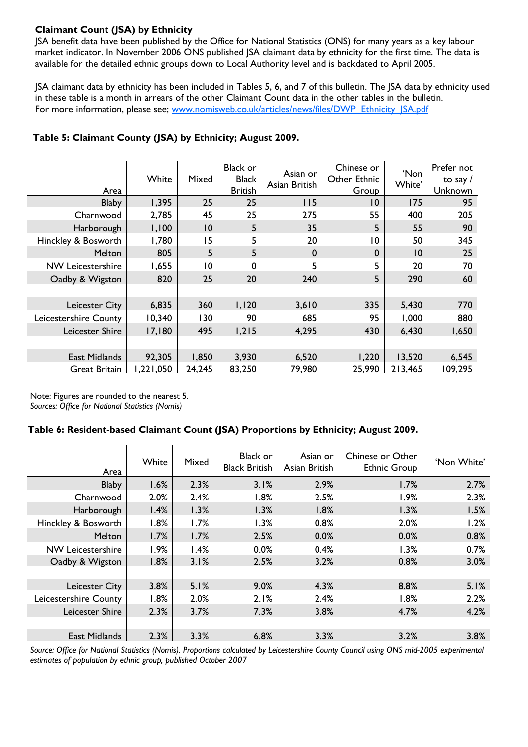## **Claimant Count (JSA) by Ethnicity**

JSA benefit data have been published by the Office for National Statistics (ONS) for many years as a key labour market indicator. In November 2006 ONS published JSA claimant data by ethnicity for the first time. The data is available for the detailed ethnic groups down to Local Authority level and is backdated to April 2005.

JSA claimant data by ethnicity has been included in Tables 5, 6, and 7 of this bulletin. The JSA data by ethnicity used in these table is a month in arrears of the other Claimant Count data in the other tables in the bulletin. For more information, please see; www.nomisweb.co.uk/articles/news/files/DWP\_Ethnicity\_JSA.pdf

| Area                     | White    | Mixed          | <b>Black or</b><br><b>Black</b><br><b>British</b> | Asian or<br>Asian British | Chinese or<br>Other Ethnic<br>Group | 'Non<br>White' | Prefer not<br>to say $\sqrt{ }$<br>Unknown |
|--------------------------|----------|----------------|---------------------------------------------------|---------------------------|-------------------------------------|----------------|--------------------------------------------|
| <b>Blaby</b>             | 1,395    | 25             | 25                                                | 115                       | 10                                  | 175            | 95                                         |
| Charnwood                | 2,785    | 45             | 25                                                | 275                       | 55                                  | 400            | 205                                        |
| Harborough               | 1,100    | 10             | 5                                                 | 35                        | 5                                   | 55             | 90                                         |
| Hinckley & Bosworth      | 1,780    | 15             | 5                                                 | 20                        | 10                                  | 50             | 345                                        |
| Melton                   | 805      | 5              | 5                                                 | $\mathbf 0$               | $\mathbf 0$                         | 10             | 25                                         |
| <b>NW Leicestershire</b> | 1,655    | $\overline{0}$ | $\Omega$                                          | 5                         | 5                                   | 20             | 70                                         |
| Oadby & Wigston          | 820      | 25             | 20                                                | 240                       | 5                                   | 290            | 60                                         |
|                          |          |                |                                                   |                           |                                     |                |                                            |
| Leicester City           | 6,835    | 360            | 1,120                                             | 3,610                     | 335                                 | 5,430          | 770                                        |
| Leicestershire County    | 10,340   | 130            | 90                                                | 685                       | 95                                  | 1,000          | 880                                        |
| Leicester Shire          | 17,180   | 495            | 1,215                                             | 4,295                     | 430                                 | 6,430          | 1,650                                      |
|                          |          |                |                                                   |                           |                                     |                |                                            |
| East Midlands            | 92,305   | 1,850          | 3,930                                             | 6,520                     | 1,220                               | 13,520         | 6,545                                      |
| <b>Great Britain</b>     | ,221,050 | 24,245         | 83,250                                            | 79,980                    | 25,990                              | 213,465        | 109,295                                    |

#### **Table 5: Claimant County (JSA) by Ethnicity; August 2009.**

Note: Figures are rounded to the nearest 5. *Sources: Office for National Statistics (Nomis)* 

#### **Table 6: Resident-based Claimant Count (JSA) Proportions by Ethnicity; August 2009.**

 $\blacksquare$ 

| Area                     | White | Mixed | Black or<br><b>Black British</b> | Asian or<br>Asian British | Chinese or Other<br><b>Ethnic Group</b> | 'Non White' |
|--------------------------|-------|-------|----------------------------------|---------------------------|-----------------------------------------|-------------|
| <b>Blaby</b>             | 1.6%  | 2.3%  | 3.1%                             | 2.9%                      | 1.7%                                    | 2.7%        |
| Charnwood                | 2.0%  | 2.4%  | 1.8%                             | 2.5%                      | 1.9%                                    | 2.3%        |
| Harborough               | 1.4%  | 1.3%  | 1.3%                             | 1.8%                      | 1.3%                                    | 1.5%        |
| Hinckley & Bosworth      | 1.8%  | 1.7%  | 1.3%                             | 0.8%                      | 2.0%                                    | 1.2%        |
| <b>Melton</b>            | 1.7%  | 1.7%  | 2.5%                             | 0.0%                      | 0.0%                                    | 0.8%        |
| <b>NW Leicestershire</b> | 1.9%  | 1.4%  | 0.0%                             | 0.4%                      | 1.3%                                    | 0.7%        |
| Oadby & Wigston          | 1.8%  | 3.1%  | 2.5%                             | 3.2%                      | 0.8%                                    | 3.0%        |
|                          |       |       |                                  |                           |                                         |             |
| Leicester City           | 3.8%  | 5.1%  | 9.0%                             | 4.3%                      | 8.8%                                    | 5.1%        |
| Leicestershire County    | 1.8%  | 2.0%  | 2.1%                             | 2.4%                      | 1.8%                                    | 2.2%        |
| Leicester Shire          | 2.3%  | 3.7%  | 7.3%                             | 3.8%                      | 4.7%                                    | 4.2%        |
|                          |       |       |                                  |                           |                                         |             |
| East Midlands            | 2.3%  | 3.3%  | 6.8%                             | 3.3%                      | 3.2%                                    | 3.8%        |

*Source: Office for National Statistics (Nomis). Proportions calculated by Leicestershire County Council using ONS mid-2005 experimental estimates of population by ethnic group, published October 2007*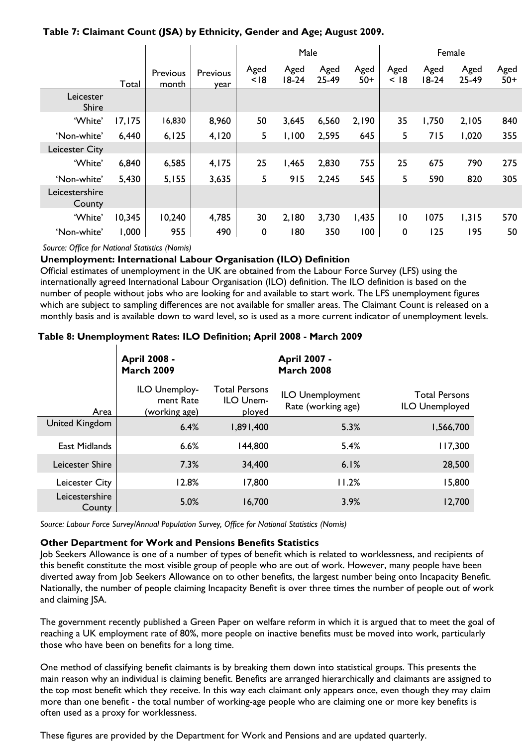|                          |         |                   |                  | Male         |                 |               |               | Female         |                 |               |               |
|--------------------------|---------|-------------------|------------------|--------------|-----------------|---------------|---------------|----------------|-----------------|---------------|---------------|
|                          | Total   | Previous<br>month | Previous<br>year | Aged<br>< 18 | Aged<br>$18-24$ | Aged<br>25-49 | Aged<br>$50+$ | Aged<br>< 18   | Aged<br>$18-24$ | Aged<br>25-49 | Aged<br>$50+$ |
| Leicester<br>Shire       |         |                   |                  |              |                 |               |               |                |                 |               |               |
| 'White'                  | 17, 175 | 16,830            | 8,960            | 50           | 3,645           | 6,560         | 2,190         | 35             | 1,750           | 2,105         | 840           |
| 'Non-white'              | 6,440   | 6, 125            | 4,120            | 5            | 1,100           | 2,595         | 645           | 5              | 715             | 1,020         | 355           |
| Leicester City           |         |                   |                  |              |                 |               |               |                |                 |               |               |
| 'White'                  | 6,840   | 6,585             | 4,175            | 25           | 1,465           | 2,830         | 755           | 25             | 675             | 790           | 275           |
| 'Non-white'              | 5,430   | 5,155             | 3,635            | 5            | 915             | 2,245         | 545           | 5              | 590             | 820           | 305           |
| Leicestershire<br>County |         |                   |                  |              |                 |               |               |                |                 |               |               |
| 'White'                  | 10,345  | 10,240            | 4,785            | 30           | 2,180           | 3,730         | 1,435         | $\overline{0}$ | 1075            | 1,315         | 570           |
| 'Non-white'              | 1,000   | 955               | 490              | $\mathbf 0$  | 180             | 350           | 100           | 0              | 125             | 195           | 50            |

*Source: Office for National Statistics (Nomis)* 

#### **Unemployment: International Labour Organisation (ILO) Definition**

Official estimates of unemployment in the UK are obtained from the Labour Force Survey (LFS) using the internationally agreed International Labour Organisation (ILO) definition. The ILO definition is based on the number of people without jobs who are looking for and available to start work. The LFS unemployment figures which are subject to sampling differences are not available for smaller areas. The Claimant Count is released on a monthly basis and is available down to ward level, so is used as a more current indicator of unemployment levels.

#### **Table 8: Unemployment Rates: ILO Definition; April 2008 - March 2009**

|                          | <b>April 2008 -</b><br><b>March 2009</b>    |                                             | <b>April 2007 -</b><br><b>March 2008</b>      |                                               |
|--------------------------|---------------------------------------------|---------------------------------------------|-----------------------------------------------|-----------------------------------------------|
| Area                     | ILO Unemploy-<br>ment Rate<br>(working age) | <b>Total Persons</b><br>ILO Unem-<br>ployed | <b>ILO Unemployment</b><br>Rate (working age) | <b>Total Persons</b><br><b>ILO Unemployed</b> |
| United Kingdom           | 6.4%                                        | 1,891,400                                   | 5.3%                                          | 1,566,700                                     |
| East Midlands            | 6.6%                                        | 144,800                                     | 5.4%                                          | 117,300                                       |
| Leicester Shire          | 7.3%                                        | 34,400                                      | 6.1%                                          | 28,500                                        |
| Leicester City           | 12.8%                                       | 17,800                                      | 11.2%                                         | 15,800                                        |
| Leicestershire<br>County | 5.0%                                        | 16,700                                      | 3.9%                                          | 12,700                                        |

*Source: Labour Force Survey/Annual Population Survey, Office for National Statistics (Nomis)* 

#### **Other Department for Work and Pensions Benefits Statistics**

Job Seekers Allowance is one of a number of types of benefit which is related to worklessness, and recipients of this benefit constitute the most visible group of people who are out of work. However, many people have been diverted away from Job Seekers Allowance on to other benefits, the largest number being onto Incapacity Benefit. Nationally, the number of people claiming Incapacity Benefit is over three times the number of people out of work and claiming JSA.

The government recently published a Green Paper on welfare reform in which it is argued that to meet the goal of reaching a UK employment rate of 80%, more people on inactive benefits must be moved into work, particularly those who have been on benefits for a long time.

One method of classifying benefit claimants is by breaking them down into statistical groups. This presents the main reason why an individual is claiming benefit. Benefits are arranged hierarchically and claimants are assigned to the top most benefit which they receive. In this way each claimant only appears once, even though they may claim more than one benefit - the total number of working-age people who are claiming one or more key benefits is often used as a proxy for worklessness.

These figures are provided by the Department for Work and Pensions and are updated quarterly.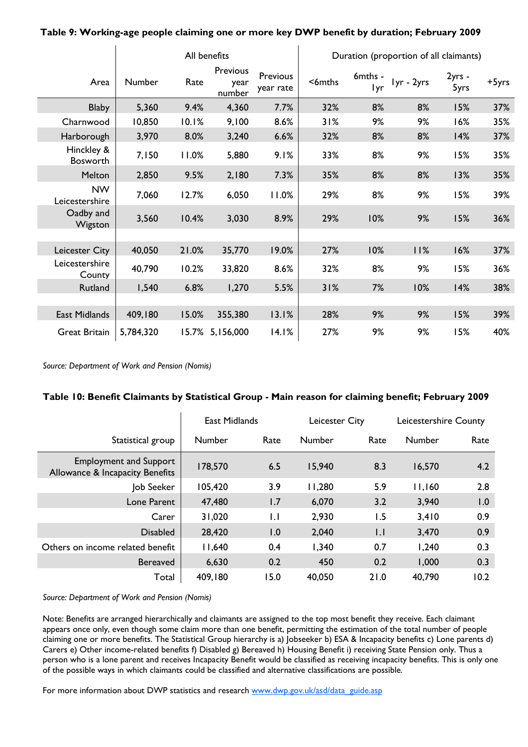|                               |           | All benefits |                            |                       |          | Duration (proportion of all claimants) |            |                |       |  |
|-------------------------------|-----------|--------------|----------------------------|-----------------------|----------|----------------------------------------|------------|----------------|-------|--|
| Area                          | Number    | Rate         | Previous<br>year<br>number | Previous<br>year rate | $6$ mths | 6mths -<br>Iyr                         | lyr - 2yrs | 2yrs -<br>5yrs | +5yrs |  |
| <b>Blaby</b>                  | 5,360     | 9.4%         | 4,360                      | 7.7%                  | 32%      | 8%                                     | 8%         | 15%            | 37%   |  |
| Charnwood                     | 10,850    | 10.1%        | 9,100                      | 8.6%                  | 31%      | 9%                                     | 9%         | 16%            | 35%   |  |
| Harborough                    | 3,970     | 8.0%         | 3,240                      | 6.6%                  | 32%      | 8%                                     | 8%         | 14%            | 37%   |  |
| Hinckley &<br><b>Bosworth</b> | 7,150     | 11.0%        | 5,880                      | 9.1%                  | 33%      | 8%                                     | 9%         | 15%            | 35%   |  |
| Melton                        | 2,850     | 9.5%         | 2,180                      | 7.3%                  | 35%      | 8%                                     | 8%         | 13%            | 35%   |  |
| <b>NW</b><br>Leicestershire   | 7,060     | 12.7%        | 6,050                      | 11.0%                 | 29%      | 8%                                     | 9%         | 15%            | 39%   |  |
| Oadby and<br>Wigston          | 3,560     | 10.4%        | 3,030                      | 8.9%                  | 29%      | 10%                                    | 9%         | 15%            | 36%   |  |
|                               |           |              |                            |                       |          |                                        |            |                |       |  |
| Leicester City                | 40,050    | 21.0%        | 35,770                     | 19.0%                 | 27%      | 10%                                    | 11%        | 16%            | 37%   |  |
| Leicestershire<br>County      | 40,790    | 10.2%        | 33,820                     | 8.6%                  | 32%      | 8%                                     | 9%         | 15%            | 36%   |  |
| Rutland                       | 1,540     | 6.8%         | 1,270                      | 5.5%                  | 31%      | 7%                                     | 10%        | 14%            | 38%   |  |
|                               |           |              |                            |                       |          |                                        |            |                |       |  |
| East Midlands                 | 409,180   | 15.0%        | 355,380                    | 13.1%                 | 28%      | 9%                                     | 9%         | 15%            | 39%   |  |
| <b>Great Britain</b>          | 5,784,320 |              | 15.7% 5,156,000            | 14.1%                 | 27%      | 9%                                     | 9%         | 15%            | 40%   |  |

**Table 9: Working-age people claiming one or more key DWP benefit by duration; February 2009** 

*Source: Department of Work and Pension (Nomis)* 

 $\mathbf{I}$ 

#### **Table 10: Benefit Claimants by Statistical Group - Main reason for claiming benefit; February 2009**

|                                                                  | <b>East Midlands</b> |      | Leicester City |             | Leicestershire County |                  |
|------------------------------------------------------------------|----------------------|------|----------------|-------------|-----------------------|------------------|
| Statistical group                                                | Number               | Rate | Number         | Rate        | <b>Number</b>         | Rate             |
| <b>Employment and Support</b><br>Allowance & Incapacity Benefits | 178,570              | 6.5  | 15,940         | 8.3         | 16,570                | 4.2              |
| Job Seeker                                                       | 105,420              | 3.9  | 11,280         | 5.9         | 11,160                | 2.8              |
| Lone Parent                                                      | 47,480               | 1.7  | 6,070          | 3.2         | 3,940                 | $\overline{0}$ . |
| Carer                                                            | 31,020               | LI.  | 2,930          | 1.5         | 3,410                 | 0.9              |
| <b>Disabled</b>                                                  | 28,420               | 1.0  | 2,040          | $  \cdot  $ | 3,470                 | 0.9              |
| Others on income related benefit                                 | 11,640               | 0.4  | 1,340          | 0.7         | 1,240                 | 0.3              |
| <b>Bereaved</b>                                                  | 6,630                | 0.2  | 450            | 0.2         | 1,000                 | 0.3              |
| Total                                                            | 409,180              | 15.0 | 40,050         | 21.0        | 40,790                | 10.2             |

*Source: Department of Work and Pension (Nomis)* 

Note: Benefits are arranged hierarchically and claimants are assigned to the top most benefit they receive. Each claimant appears once only, even though some claim more than one benefit, permitting the estimation of the total number of people claiming one or more benefits. The Statistical Group hierarchy is a) Jobseeker b) ESA & Incapacity benefits c) Lone parents d) Carers e) Other income-related benefits f) Disabled g) Bereaved h) Housing Benefit i) receiving State Pension only. Thus a person who is a lone parent and receives Incapacity Benefit would be classified as receiving incapacity benefits. This is only one of the possible ways in which claimants could be classified and alternative classifications are possible.

For more information about DWP statistics and research www.dwp.gov.uk/asd/data\_guide.asp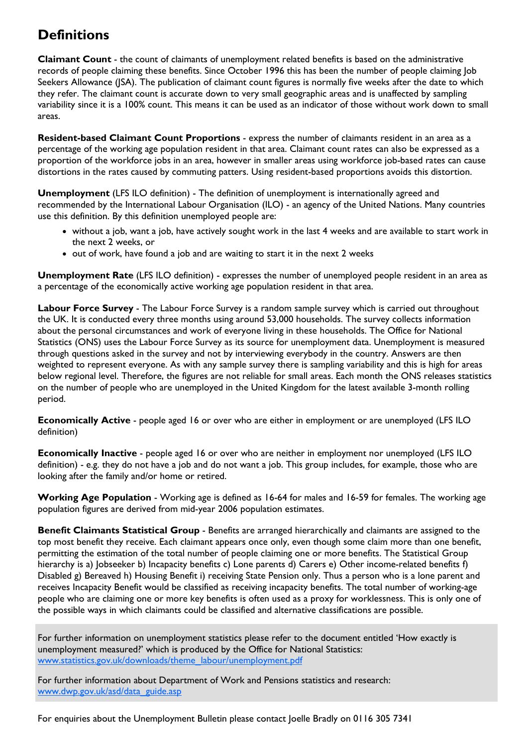## **Definitions**

**Claimant Count** - the count of claimants of unemployment related benefits is based on the administrative records of people claiming these benefits. Since October 1996 this has been the number of people claiming Job Seekers Allowance (JSA). The publication of claimant count figures is normally five weeks after the date to which they refer. The claimant count is accurate down to very small geographic areas and is unaffected by sampling variability since it is a 100% count. This means it can be used as an indicator of those without work down to small areas.

**Resident-based Claimant Count Proportions** - express the number of claimants resident in an area as a percentage of the working age population resident in that area. Claimant count rates can also be expressed as a proportion of the workforce jobs in an area, however in smaller areas using workforce job-based rates can cause distortions in the rates caused by commuting patters. Using resident-based proportions avoids this distortion.

**Unemployment** (LFS ILO definition) - The definition of unemployment is internationally agreed and recommended by the International Labour Organisation (ILO) - an agency of the United Nations. Many countries use this definition. By this definition unemployed people are:

- without a job, want a job, have actively sought work in the last 4 weeks and are available to start work in the next 2 weeks, or
- out of work, have found a job and are waiting to start it in the next 2 weeks

**Unemployment Rate** (LFS ILO definition) - expresses the number of unemployed people resident in an area as a percentage of the economically active working age population resident in that area.

**Labour Force Survey** - The Labour Force Survey is a random sample survey which is carried out throughout the UK. It is conducted every three months using around 53,000 households. The survey collects information about the personal circumstances and work of everyone living in these households. The Office for National Statistics (ONS) uses the Labour Force Survey as its source for unemployment data. Unemployment is measured through questions asked in the survey and not by interviewing everybody in the country. Answers are then weighted to represent everyone. As with any sample survey there is sampling variability and this is high for areas below regional level. Therefore, the figures are not reliable for small areas. Each month the ONS releases statistics on the number of people who are unemployed in the United Kingdom for the latest available 3-month rolling period.

**Economically Active** - people aged 16 or over who are either in employment or are unemployed (LFS ILO definition)

**Economically Inactive** - people aged 16 or over who are neither in employment nor unemployed (LFS ILO definition) - e.g. they do not have a job and do not want a job. This group includes, for example, those who are looking after the family and/or home or retired.

**Working Age Population** - Working age is defined as 16-64 for males and 16-59 for females. The working age population figures are derived from mid-year 2006 population estimates.

**Benefit Claimants Statistical Group** - Benefits are arranged hierarchically and claimants are assigned to the top most benefit they receive. Each claimant appears once only, even though some claim more than one benefit, permitting the estimation of the total number of people claiming one or more benefits. The Statistical Group hierarchy is a) Jobseeker b) Incapacity benefits c) Lone parents d) Carers e) Other income-related benefits f) Disabled g) Bereaved h) Housing Benefit i) receiving State Pension only. Thus a person who is a lone parent and receives Incapacity Benefit would be classified as receiving incapacity benefits. The total number of working-age people who are claiming one or more key benefits is often used as a proxy for worklessness. This is only one of the possible ways in which claimants could be classified and alternative classifications are possible.

For further information on unemployment statistics please refer to the document entitled 'How exactly is unemployment measured?' which is produced by the Office for National Statistics: www.statistics.gov.uk/downloads/theme\_labour/unemployment.pdf

For further information about Department of Work and Pensions statistics and research: www.dwp.gov.uk/asd/data\_guide.asp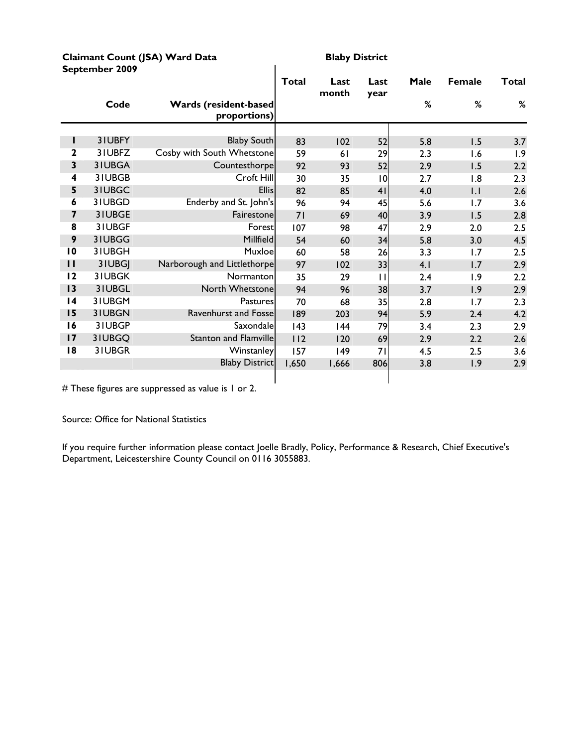#### **Claimant Count (JSA) Ward Data** Blaby District **September 2009**

|                 |        |                                               | Total | Last<br>month | Last<br>year    | Male | <b>Female</b> | <b>Total</b> |
|-----------------|--------|-----------------------------------------------|-------|---------------|-----------------|------|---------------|--------------|
|                 | Code   | <b>Wards (resident-based)</b><br>proportions) |       |               |                 | %    | %             | $\%$         |
|                 |        |                                               |       |               |                 |      |               |              |
| L               | 31UBFY | <b>Blaby South</b>                            | 83    | 102           | 52              | 5.8  | 1.5           | 3.7          |
| 2               | 31UBFZ | Cosby with South Whetstone                    | 59    | 61            | 29              | 2.3  | 1.6           | 1.9          |
| 3               | 31UBGA | Countesthorpe                                 | 92    | 93            | 52              | 2.9  | 1.5           | 2.2          |
| 4               | 31UBGB | Croft Hill                                    | 30    | 35            | $\overline{10}$ | 2.7  | 1.8           | 2.3          |
| 5               | 31UBGC | <b>Ellis</b>                                  | 82    | 85            | 4 <sub>1</sub>  | 4.0  | $  \cdot  $   | 2.6          |
| 6               | 31UBGD | Enderby and St. John's                        | 96    | 94            | 45              | 5.6  | 1.7           | 3.6          |
| 7               | 31UBGE | Fairestone                                    | 71    | 69            | 40              | 3.9  | 1.5           | 2.8          |
| 8               | 31UBGF | Forestl                                       | 107   | 98            | 47              | 2.9  | 2.0           | 2.5          |
| 9               | 31UBGG | Millfield                                     | 54    | 60            | 34              | 5.8  | 3.0           | 4.5          |
| $\overline{10}$ | 31UBGH | Muxloe                                        | 60    | 58            | 26              | 3.3  | 1.7           | 2.5          |
| $\mathbf{H}$    | 31UBGJ | Narborough and Littlethorpe                   | 97    | 102           | 33              | 4.1  | 1.7           | 2.9          |
| 12              | 31UBGK | Normanton                                     | 35    | 29            | П               | 2.4  | 1.9           | 2.2          |
| 13              | 31UBGL | North Whetstone                               | 94    | 96            | 38              | 3.7  | 1.9           | 2.9          |
| 4               | 31UBGM | Pastures                                      | 70    | 68            | 35              | 2.8  | 1.7           | 2.3          |
| 15              | 31UBGN | <b>Ravenhurst and Fosse</b>                   | 189   | 203           | 94              | 5.9  | 2.4           | 4.2          |
| 16              | 31UBGP | Saxondale                                     | 143   | 44            | 79              | 3.4  | 2.3           | 2.9          |
| 17              | 31UBGQ | <b>Stanton and Flamville</b>                  | 112   | 120           | 69              | 2.9  | 2.2           | 2.6          |
| 18              | 31UBGR | Winstanley                                    | 157   | 149           | 71              | 4.5  | 2.5           | 3.6          |
|                 |        | <b>Blaby District</b>                         | 1,650 | 1,666         | 806             | 3.8  | 1.9           | 2.9          |
|                 |        |                                               |       |               |                 |      |               |              |

 $\overline{\phantom{a}}$ 

# These figures are suppressed as value is 1 or 2.

Source: Office for National Statistics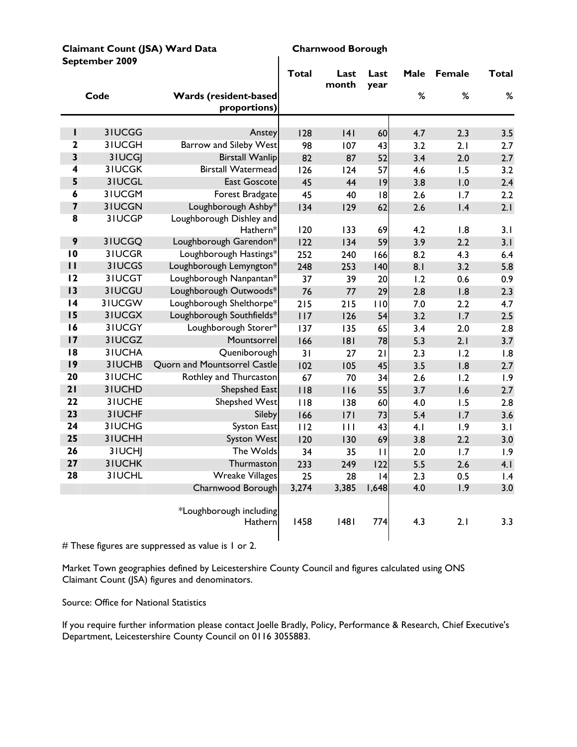| Claimant Count (JSA) Ward Data |  |
|--------------------------------|--|
| September 2009                 |  |

#### **Charnwood Borough**

|                         |               |                                       | <b>Total</b> | Last<br>month | Last<br>year | Male | Female | <b>Total</b> |
|-------------------------|---------------|---------------------------------------|--------------|---------------|--------------|------|--------|--------------|
|                         | Code          | Wards (resident-based<br>proportions) |              |               |              | $\%$ | $\%$   | $\%$         |
|                         |               |                                       |              |               |              |      |        |              |
| I                       | 3IUCGG        | Anstey                                | 128          | 4             | 60           | 4.7  | 2.3    | 3.5          |
| $\mathbf{2}$            | 3IUCGH        | <b>Barrow and Sileby West</b>         | 98           | 107           | 43           | 3.2  | 2.1    | 2.7          |
| 3                       | 3IUCGJ        | <b>Birstall Wanlip</b>                | 82           | 87            | 52           | 3.4  | 2.0    | 2.7          |
| 4                       | <b>3IUCGK</b> | <b>Birstall Watermead</b>             | 126          | 124           | 57           | 4.6  | 1.5    | 3.2          |
| 5                       | 31UCGL        | <b>East Goscote</b>                   | 45           | 44            | 9            | 3.8  | 1.0    | 2.4          |
| 6                       | 3IUCGM        | Forest Bradgate                       | 45           | 40            | 8            | 2.6  | 1.7    | 2.2          |
| $\overline{\mathbf{z}}$ | <b>3IUCGN</b> | Loughborough Ashby*                   | 134          | 129           | 62           | 2.6  | 1.4    | 2.1          |
| 8                       | 3IUCGP        | Loughborough Dishley and<br>Hathern*  | 120          | 133           | 69           | 4.2  | 1.8    | 3.1          |
| 9                       | 3IUCGQ        | Loughborough Garendon*                | 122          | 134           | 59           | 3.9  | 2.2    | 3.1          |
| $\overline{10}$         | 3IUCGR        | Loughborough Hastings*                | 252          | 240           | 166          | 8.2  | 4.3    | 6.4          |
| $\mathbf{H}$            | 3IUCGS        | Loughborough Lemyngton*               | 248          | 253           | 140          | 8.1  | 3.2    | 5.8          |
| 12                      | 3IUCGT        | Loughborough Nanpantan*               | 37           | 39            | 20           | 1.2  | 0.6    | 0.9          |
| 13                      | 31UCGU        | Loughborough Outwoods*                | 76           | 77            | 29           | 2.8  | 1.8    | 2.3          |
| 14                      | 3IUCGW        | Loughborough Shelthorpe*              | 215          | 215           | 110          | 7.0  | 2.2    | 4.7          |
| 15                      | 31UCGX        | Loughborough Southfields*             | 117          | 126           | 54           | 3.2  | 1.7    | 2.5          |
| 16                      | 3IUCGY        | Loughborough Storer*                  | 137          | 135           | 65           | 3.4  | 2.0    | 2.8          |
| 17                      | 3IUCGZ        | Mountsorrel                           | 166          | 181           | 78           | 5.3  | 2.1    | 3.7          |
| 8                       | 3IUCHA        | Queniborough                          | 31           | 27            | 21           | 2.3  | 1.2    | 1.8          |
| 9                       | 3IUCHB        | Quorn and Mountsorrel Castle          | 102          | 105           | 45           | 3.5  | 1.8    | 2.7          |
| 20                      | 3IUCHC        | Rothley and Thurcaston                | 67           | 70            | 34           | 2.6  | 1.2    | 1.9          |
| 21                      | 31UCHD        | Shepshed East                         | 118          | 116           | 55           | 3.7  | 1.6    | 2.7          |
| 22                      | 3IUCHE        | <b>Shepshed West</b>                  | 118          | 138           | 60           | 4.0  | 1.5    | 2.8          |
| 23                      | 3IUCHF        | Sileby                                | 166          | 7             | 73           | 5.4  | 1.7    | 3.6          |
| 24                      | 3IUCHG        | <b>Syston East</b>                    | 112          | 111           | 43           | 4.1  | 1.9    | 3.1          |
| 25                      | 3IUCHH        | <b>Syston West</b>                    | 120          | 130           | 69           | 3.8  | 2.2    | 3.0          |
| 26                      | 3IUCHJ        | The Wolds                             | 34           | 35            | П            | 2.0  | 1.7    | 1.9          |
| 27                      | <b>3IUCHK</b> | Thurmaston                            | 233          | 249           | 122          | 5.5  | 2.6    | 4.1          |
| 28                      | 31UCHL        | <b>Wreake Villages</b>                | 25           | 28            | 4            | 2.3  | 0.5    | 1.4          |
|                         |               | Charnwood Borough                     | 3,274        | 3,385         | 1,648        | 4.0  | 1.9    | 3.0          |
|                         |               | *Loughborough including<br>Hathern    | 1458         | 1481          | 774          | 4.3  | 2.1    | 3.3          |

 $\mathbf{I}$ 

# These figures are suppressed as value is 1 or 2.

Market Town geographies defined by Leicestershire County Council and figures calculated using ONS Claimant Count (JSA) figures and denominators.

Source: Office for National Statistics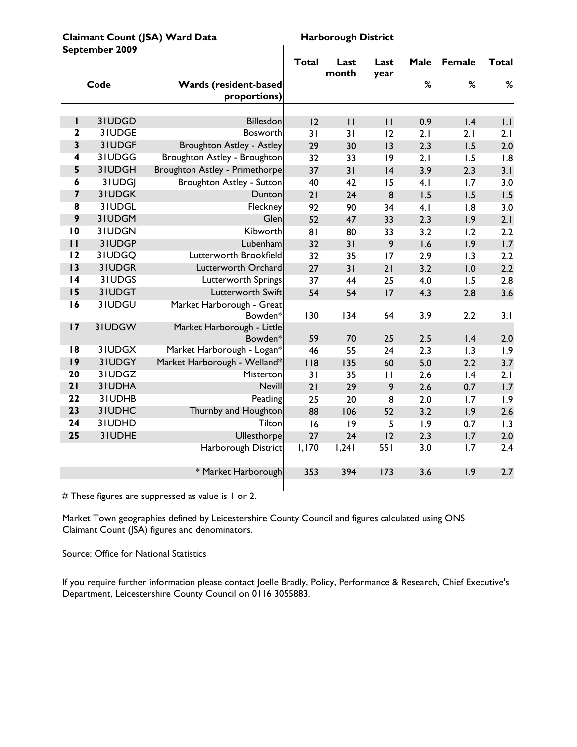|                         | september zuu <del>z</del> |                                              | Total | Last<br>month | Last<br>year | Male | <b>Female</b> | Total |
|-------------------------|----------------------------|----------------------------------------------|-------|---------------|--------------|------|---------------|-------|
|                         | Code                       | <b>Wards (resident-based</b><br>proportions) |       |               |              | %    | %             | $\%$  |
|                         |                            |                                              |       |               |              |      |               |       |
| ı                       | 31UDGD                     | <b>Billesdon</b>                             | 12    | $\mathbf{H}$  | $\mathbf{H}$ | 0.9  | 1.4           | 1.1   |
| $\mathbf{2}$            | 31UDGE                     | <b>Bosworth</b>                              | 31    | 31            | 12           | 2.1  | 2.1           | 2.1   |
| $\overline{\mathbf{3}}$ | 31UDGF                     | Broughton Astley - Astley                    | 29    | 30            | 13           | 2.3  | 1.5           | 2.0   |
| 4                       | 31UDGG                     | Broughton Astley - Broughton                 | 32    | 33            | 9            | 2.1  | 1.5           | 1.8   |
| 5                       | 31UDGH                     | Broughton Astley - Primethorpe               | 37    | 31            | 4            | 3.9  | 2.3           | 3.1   |
| 6                       | 31UDGJ                     | Broughton Astley - Sutton                    | 40    | 42            | 15           | 4.1  | 1.7           | 3.0   |
| $\overline{\mathbf{z}}$ | 31UDGK                     | Dunton                                       | 21    | 24            | 8            | 1.5  | 1.5           | 1.5   |
| 8                       | 31UDGL                     | Fleckney                                     | 92    | 90            | 34           | 4.1  | 1.8           | 3.0   |
| 9                       | 31UDGM                     | Glen                                         | 52    | 47            | 33           | 2.3  | 1.9           | 2.1   |
| 10                      | 31UDGN                     | Kibworth                                     | 81    | 80            | 33           | 3.2  | 1.2           | 2.2   |
| $\mathbf{H}$            | 31UDGP                     | Lubenham                                     | 32    | 31            | 9            | 1.6  | 1.9           | 1.7   |
| 12                      | 3IUDGQ                     | Lutterworth Brookfield                       | 32    | 35            | 17           | 2.9  | 1.3           | 2.2   |
| 13                      | 31UDGR                     | Lutterworth Orchard                          | 27    | 31            | 21           | 3.2  | 1.0           | 2.2   |
| $\overline{14}$         | 3 IUDGS                    | Lutterworth Springs                          | 37    | 44            | 25           | 4.0  | 1.5           | 2.8   |
| 15                      | 31UDGT                     | Lutterworth Swift                            | 54    | 54            | 17           | 4.3  | 2.8           | 3.6   |
| 16                      | 31UDGU                     | Market Harborough - Great                    |       |               |              |      |               |       |
|                         |                            | Bowden*                                      | 130   | 134           | 64           | 3.9  | 2.2           | 3.1   |
| 17                      | 3IUDGW                     | Market Harborough - Little                   |       |               |              |      |               |       |
| 18                      |                            | Bowden*                                      | 59    | 70            | 25           | 2.5  | 1.4           | 2.0   |
| 9                       | 3IUDGX<br>31UDGY           | Market Harborough - Logan*                   | 46    | 55            | 24           | 2.3  | 1.3           | 1.9   |
| 20                      |                            | Market Harborough - Welland*                 | 118   | 135           | 60           | 5.0  | 2.2           | 3.7   |
|                         | 31UDGZ                     | Misterton                                    | 31    | 35            | $\mathbf{H}$ | 2.6  | 1.4           | 2.1   |
| 21                      | 3IUDHA                     | Nevill                                       | 21    | 29            | 9            | 2.6  | 0.7           | 1.7   |
| 22                      | 31UDHB                     | Peatling                                     | 25    | 20            | 8            | 2.0  | 1.7           | 1.9   |
| 23                      | 31UDHC                     | Thurnby and Houghton                         | 88    | 106           | 52           | 3.2  | 1.9           | 2.6   |
| 24                      | 31UDHD                     | Tilton                                       | 16    | 9             | 5            | 1.9  | 0.7           | 1.3   |
| 25                      | 31UDHE                     | Ullesthorpe                                  | 27    | 24            | 12           | 2.3  | 1.7           | 2.0   |
|                         |                            | Harborough District                          | 1,170 | 1,241         | 551          | 3.0  | 1.7           | 2.4   |
|                         |                            | * Market Harborough                          | 353   | 394           | 173          | 3.6  | 1.9           | 2.7   |
|                         |                            |                                              |       |               |              |      |               |       |

# These figures are suppressed as value is 1 or 2.

Market Town geographies defined by Leicestershire County Council and figures calculated using ONS Claimant Count (JSA) figures and denominators.

#### Source: Office for National Statistics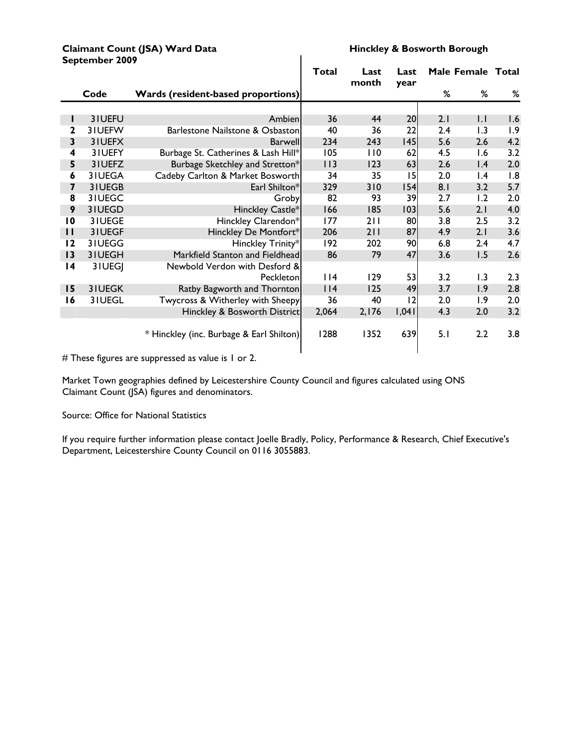#### **Claimant Count (JSA) Ward Data Hinckley & Bosworth Borough**<br>Sentember 2009 **September 2009**

|                         |        |                                           | <b>Total</b> | Last<br>month | Last<br>year |     | Male Female Total |     |
|-------------------------|--------|-------------------------------------------|--------------|---------------|--------------|-----|-------------------|-----|
|                         | Code   | <b>Wards (resident-based proportions)</b> |              |               |              | %   | %                 | %   |
|                         |        |                                           |              |               |              |     |                   |     |
| Ш                       | 31UEFU | Ambien                                    | 36           | 44            | 20           | 2.1 | $  \cdot  $       | 1.6 |
| 2                       | 31UEFW | Barlestone Nailstone & Osbaston           | 40           | 36            | 22           | 2.4 | 1.3               | 1.9 |
| 3                       | 31UEFX | Barwell                                   | 234          | 243           | 145          | 5.6 | 2.6               | 4.2 |
| 4                       | 31UEFY | Burbage St. Catherines & Lash Hill*       | 105          | 110           | 62           | 4.5 | 1.6               | 3.2 |
| 5                       | 31UEFZ | Burbage Sketchley and Stretton*           | 113          | 123           | 63           | 2.6 | 1.4               | 2.0 |
| 6                       | 3IUEGA | Cadeby Carlton & Market Bosworth          | 34           | 35            | 15           | 2.0 | $\mathsf{I}$ .4   | 1.8 |
| $\overline{\mathbf{z}}$ | 31UEGB | Earl Shilton*                             | 329          | 310           | 154          | 8.1 | 3.2               | 5.7 |
| $\overline{\mathbf{8}}$ | 31UEGC | Groby                                     | 82           | 93            | 39           | 2.7 | 1.2               | 2.0 |
| 9                       | 31UEGD | Hinckley Castle*                          | 166          | 185           | 103          | 5.6 | 2.1               | 4.0 |
| $\overline{10}$         | 31UEGE | Hinckley Clarendon*                       | 177          | 211           | 80           | 3.8 | 2.5               | 3.2 |
| $\mathbf{H}$            | 31UEGF | Hinckley De Montfort*                     | 206          | 211           | 87           | 4.9 | 2.1               | 3.6 |
| 12                      | 31UEGG | Hinckley Trinity*                         | 192          | 202           | 90           | 6.8 | 2.4               | 4.7 |
| 13                      | 31UEGH | Markfield Stanton and Fieldhead           | 86           | 79            | 47           | 3.6 | 1.5               | 2.6 |
| $\overline{14}$         | 3IUEGJ | Newbold Verdon with Desford &             |              |               |              |     |                   |     |
|                         |        | Peckleton                                 | $ $  4       | 129           | 53           | 3.2 | 1.3               | 2.3 |
| 15                      | 31UEGK | Ratby Bagworth and Thornton               | $ $   4      | 125           | 49           | 3.7 | 1.9               | 2.8 |
| 16                      | 3IUEGL | Twycross & Witherley with Sheepy          | 36           | 40            | 12           | 2.0 | 1.9               | 2.0 |
|                         |        | Hinckley & Bosworth District              | 2,064        | 2,176         | 1,041        | 4.3 | 2.0               | 3.2 |
|                         |        | * Hinckley (inc. Burbage & Earl Shilton)  | 1288         | 1352          | 639          | 5.1 | 2.2               | 3.8 |

# These figures are suppressed as value is 1 or 2.

Market Town geographies defined by Leicestershire County Council and figures calculated using ONS Claimant Count (JSA) figures and denominators.

#### Source: Office for National Statistics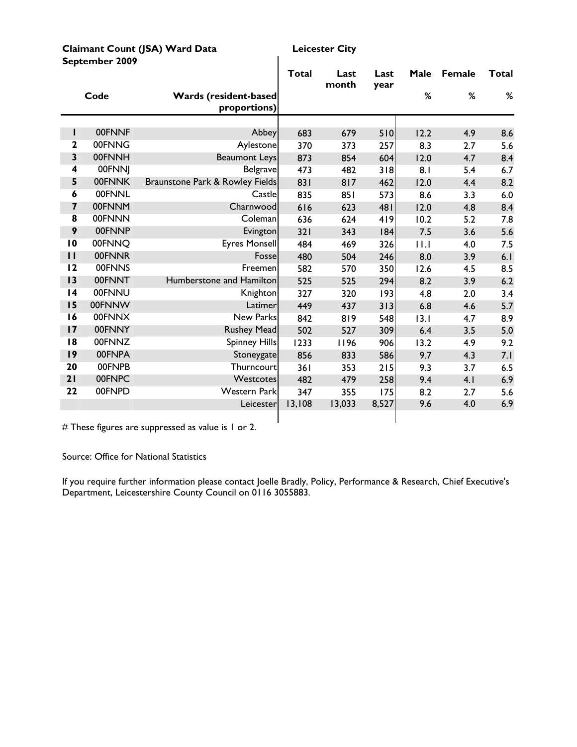| Claimant Count (JSA) Ward Data |  |
|--------------------------------|--|
| September 2009                 |  |

**Leicester City** 

|                         |               |                                              | Total  | Last<br>month | Last<br>year | Male | <b>Female</b> | Total |
|-------------------------|---------------|----------------------------------------------|--------|---------------|--------------|------|---------------|-------|
|                         | Code          | <b>Wards (resident-based</b><br>proportions) |        |               |              | %    | %             | %     |
|                         |               |                                              |        |               |              |      |               |       |
| L                       | 00FNNF        | Abbey                                        | 683    | 679           | 510          | 12.2 | 4.9           | 8.6   |
| $\overline{2}$          | 00FNNG        | Aylestone                                    | 370    | 373           | 257          | 8.3  | 2.7           | 5.6   |
| $\overline{\mathbf{3}}$ | 00FNNH        | <b>Beaumont Leys</b>                         | 873    | 854           | 604          | 12.0 | 4.7           | 8.4   |
| $\overline{\mathbf{4}}$ | 00FNNJ        | <b>Belgrave</b>                              | 473    | 482           | 318          | 8.1  | 5.4           | 6.7   |
| 5                       | 00FNNK        | Braunstone Park & Rowley Fields              | 831    | 817           | 462          | 12.0 | 4.4           | 8.2   |
| 6                       | <b>00FNNL</b> | Castle                                       | 835    | 851           | 573          | 8.6  | 3.3           | 6.0   |
| $\overline{\mathbf{z}}$ | 00FNNM        | Charnwood                                    | 616    | 623           | 481          | 12.0 | 4.8           | 8.4   |
| $\overline{\mathbf{8}}$ | 00FNNN        | Coleman                                      | 636    | 624           | 419          | 10.2 | 5.2           | 7.8   |
| 9                       | 00FNNP        | Evington                                     | 321    | 343           | 184          | 7.5  | 3.6           | 5.6   |
| $\overline{10}$         | 00FNNO        | <b>Eyres Monsell</b>                         | 484    | 469           | 326          | 11.1 | 4.0           | 7.5   |
| $\mathbf{I}$            | 00FNNR        | Fosse                                        | 480    | 504           | 246          | 8.0  | 3.9           | 6.1   |
| 12                      | 00FNNS        | Freemen                                      | 582    | 570           | 350          | 12.6 | 4.5           | 8.5   |
| 13                      | 00FNNT        | Humberstone and Hamilton                     | 525    | 525           | 294          | 8.2  | 3.9           | 6.2   |
| $\overline{14}$         | 00FNNU        | Knighton                                     | 327    | 320           | 193          | 4.8  | 2.0           | 3.4   |
| 15                      | 00FNNW        | Latimer                                      | 449    | 437           | 313          | 6.8  | 4.6           | 5.7   |
| 16                      | 00FNNX        | New Parks                                    | 842    | 819           | 548          | 13.1 | 4.7           | 8.9   |
| 17                      | 00FNNY        | <b>Rushey Mead</b>                           | 502    | 527           | 309          | 6.4  | 3.5           | 5.0   |
| 8                       | 00FNNZ        | <b>Spinney Hills</b>                         | 1233   | 1196          | 906          | 13.2 | 4.9           | 9.2   |
| 19                      | 00FNPA        | Stoneygate                                   | 856    | 833           | 586          | 9.7  | 4.3           | 7.1   |
| 20                      | 00FNPB        | Thurncourt                                   | 361    | 353           | 215          | 9.3  | 3.7           | 6.5   |
| 21                      | 00FNPC        | Westcotes                                    | 482    | 479           | 258          | 9.4  | 4.1           | 6.9   |
| 22                      | 00FNPD        | <b>Western Park</b>                          | 347    | 355           | 175          | 8.2  | 2.7           | 5.6   |
|                         |               | Leicester                                    | 13,108 | 13,033        | 8,527        | 9.6  | 4.0           | 6.9   |
|                         |               |                                              |        |               |              |      |               |       |

 $\mathbf{I}$ 

# These figures are suppressed as value is 1 or 2.

Source: Office for National Statistics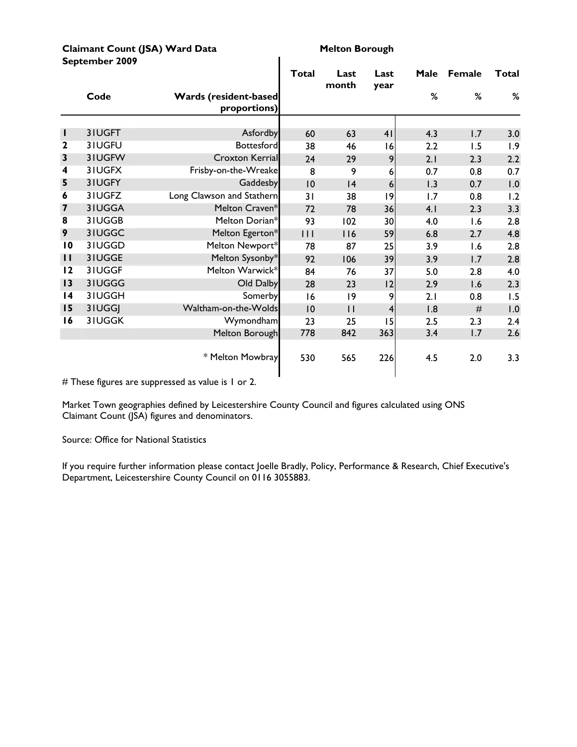| Claimant Count (JSA) Ward Data |
|--------------------------------|
| September 2009                 |

**Melton Borough** 

|                 |        |                                       | Total  | Last<br>month | Last<br>year   | Male | <b>Female</b> | <b>Total</b> |
|-----------------|--------|---------------------------------------|--------|---------------|----------------|------|---------------|--------------|
|                 | Code   | Wards (resident-based<br>proportions) |        |               |                | %    | %             | %            |
|                 |        |                                       |        |               |                |      |               |              |
| ш               | 3IUGFT | Asfordby                              | 60     | 63            | 41             | 4.3  | 1.7           | 3.0          |
| $\mathbf 2$     | 31UGFU | <b>Bottesford</b>                     | 38     | 46            | 16             | 2.2  | 1.5           | 1.9          |
| $\mathbf{3}$    | 31UGFW | Croxton Kerrial                       | 24     | 29            | 9              | 2.1  | 2.3           | 2.2          |
| 4               | 3IUGFX | Frisby-on-the-Wreake                  | 8      | 9             | 6              | 0.7  | 0.8           | 0.7          |
| 5               | 3IUGFY | Gaddesby                              | 10     | 4             | 6              | 1.3  | 0.7           | 1.0          |
| 6               | 3IUGFZ | Long Clawson and Stathern             | 31     | 38            | 9              | 1.7  | 0.8           | 1.2          |
| 7               | 3IUGGA | Melton Craven*                        | 72     | 78            | 36             | 4.1  | 2.3           | 3.3          |
| 8               | 31UGGB | Melton Dorian*                        | 93     | 102           | 30             | 4.0  | 1.6           | 2.8          |
| 9               | 31UGGC | Melton Egerton*                       | $\Box$ | 116           | 59             | 6.8  | 2.7           | 4.8          |
| $\overline{10}$ | 3IUGGD | Melton Newport*                       | 78     | 87            | 25             | 3.9  | 1.6           | 2.8          |
| $\mathbf{H}$    | 31UGGE | Melton Sysonby*                       | 92     | 106           | 39             | 3.9  | 1.7           | 2.8          |
| 12              | 31UGGF | Melton Warwick*                       | 84     | 76            | 37             | 5.0  | 2.8           | 4.0          |
| 13              | 31UGGG | Old Dalby                             | 28     | 23            | 12             | 2.9  | 1.6           | 2.3          |
| $\overline{14}$ | 31UGGH | Somerby                               | 16     | 9             | 9              | 2.1  | 0.8           | 1.5          |
| 15              | 3IUGGJ | Waltham-on-the-Wolds                  | 10     | $\mathbf{H}$  | $\overline{4}$ | 1.8  | #             | 1.0          |
| 16              | 31UGGK | Wymondham                             | 23     | 25            | 15             | 2.5  | 2.3           | 2.4          |
|                 |        | Melton Borough                        | 778    | 842           | 363            | 3.4  | 1.7           | 2.6          |
|                 |        | * Melton Mowbray                      | 530    | 565           | 226            | 4.5  | 2.0           | 3.3          |

 $\overline{\phantom{a}}$ 

# These figures are suppressed as value is 1 or 2.

Market Town geographies defined by Leicestershire County Council and figures calculated using ONS Claimant Count (JSA) figures and denominators.

Source: Office for National Statistics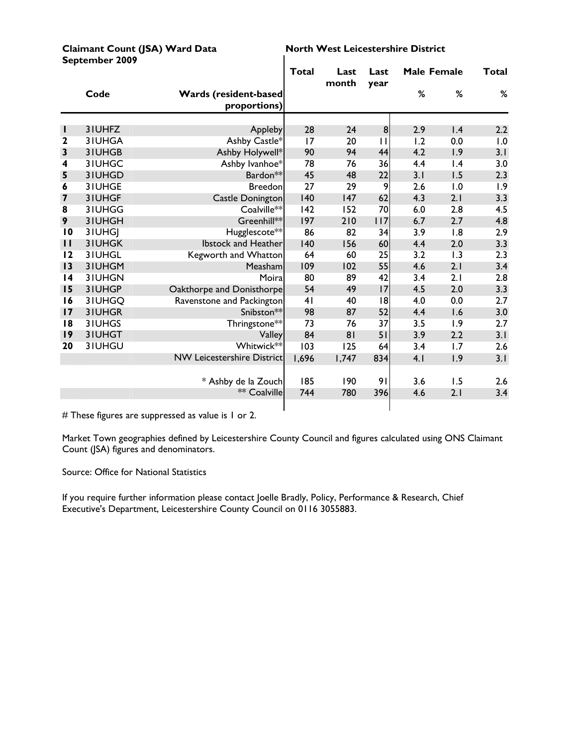|                 | September 2009 |                                               |       |               |              |                    |                 |       |
|-----------------|----------------|-----------------------------------------------|-------|---------------|--------------|--------------------|-----------------|-------|
|                 |                |                                               | Total | Last<br>month | Last<br>year | <b>Male Female</b> |                 | Total |
|                 | Code           | <b>Wards (resident-based)</b><br>proportions) |       |               |              | %                  | %               | %     |
|                 |                |                                               |       |               |              |                    |                 |       |
| н               | 3IUHFZ         | Appleby                                       | 28    | 24            | 8            | 2.9                | $\mathsf{I}$ .4 | 2.2   |
| $\mathbf{2}$    | 3IUHGA         | Ashby Castle*                                 | 17    | 20            | $\mathbf{1}$ | 1.2                | 0.0             | 1.0   |
| 3               | 3IUHGB         | Ashby Holywell*                               | 90    | 94            | 44           | 4.2                | 1.9             | 3.1   |
| 4               | 3IUHGC         | Ashby Ivanhoe*                                | 78    | 76            | 36           | 4.4                | 1.4             | 3.0   |
| 5               | 3IUHGD         | Bardon**                                      | 45    | 48            | 22           | 3.1                | 1.5             | 2.3   |
| 6               | 31UHGE         | <b>Breedon</b>                                | 27    | 29            | 9            | 2.6                | 1.0             | 1.9   |
| 7               | 31UHGF         | <b>Castle Donington</b>                       | 140   | 147           | 62           | 4.3                | 2.1             | 3.3   |
| 8               | 3IUHGG         | Coalville**                                   | 142   | 152           | 70           | 6.0                | 2.8             | 4.5   |
| 9               | 3IUHGH         | Greenhill**                                   | 197   | 210           | 117          | 6.7                | 2.7             | 4.8   |
| 10              | 3IUHGI         | Hugglescote**                                 | 86    | 82            | 34           | 3.9                | 1.8             | 2.9   |
| $\mathbf{H}$    | 3IUHGK         | <b>Ibstock and Heather</b>                    | 140   | 156           | 60           | 4.4                | 2.0             | 3.3   |
| 12              | 31UHGL         | Kegworth and Whatton                          | 64    | 60            | 25           | 3.2                | 1.3             | 2.3   |
| 13              | 31UHGM         | Measham                                       | 109   | 102           | 55           | 4.6                | 2.1             | 3.4   |
| $\overline{14}$ | 3IUHGN         | Moira                                         | 80    | 89            | 42           | 3.4                | 2.1             | 2.8   |
| 15              | 3IUHGP         | Oakthorpe and Donisthorpe                     | 54    | 49            | 17           | 4.5                | 2.0             | 3.3   |
| 16              | 31UHGQ         | Ravenstone and Packington                     | 41    | 40            | 18           | 4.0                | 0.0             | 2.7   |
| 17              | 31UHGR         | Snibston**                                    | 98    | 87            | 52           | 4.4                | 1.6             | 3.0   |
| 18              | 3IUHGS         | Thringstone**                                 | 73    | 76            | 37           | 3.5                | 1.9             | 2.7   |
| 9               | 3IUHGT         | Valley                                        | 84    | 81            | 51           | 3.9                | 2.2             | 3.1   |
| 20              | 3IUHGU         | Whitwick**                                    | 103   | 125           | 64           | 3.4                | 1.7             | 2.6   |
|                 |                | <b>NW Leicestershire District</b>             | 1,696 | 1,747         | 834          | 4.1                | 1.9             | 3.1   |
|                 |                | * Ashby de la Zouch                           | 185   | 190           | 91           | 3.6                | 1.5             | 2.6   |
|                 |                | ** Coalville                                  | 744   | 780           | 396          | 4.6                | 2.1             | 3.4   |
|                 |                |                                               |       |               |              |                    |                 |       |

Claimant Count (JSA) Ward Data **North West Leicestershire District** 

# These figures are suppressed as value is 1 or 2.

Market Town geographies defined by Leicestershire County Council and figures calculated using ONS Claimant Count (JSA) figures and denominators.

Source: Office for National Statistics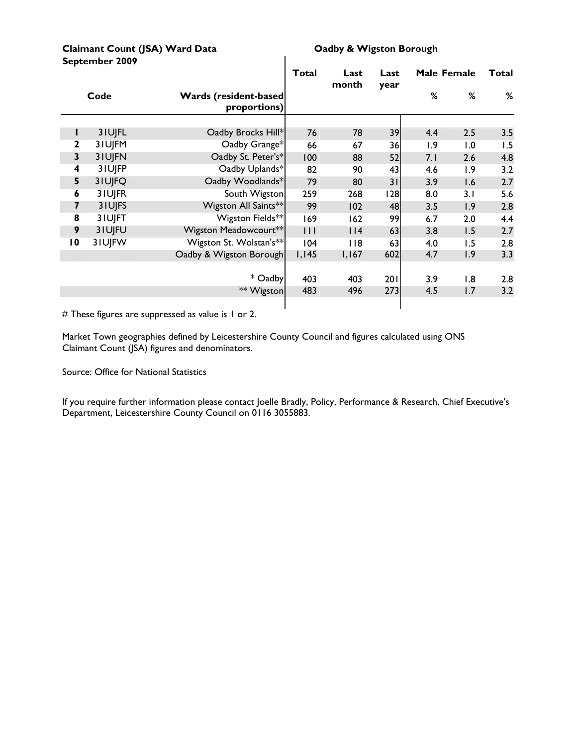#### Claimant Count (JSA) Ward Data **CLA CLAIM** Oadby & Wigston Borough **September 2009**

|                 |        |                                               | <b>Total</b>        | Last<br>month | Last<br>year |     | Male Female | Total |
|-----------------|--------|-----------------------------------------------|---------------------|---------------|--------------|-----|-------------|-------|
|                 | Code   | <b>Wards (resident-based)</b><br>proportions) |                     |               |              | ℅   | %           | %     |
|                 |        |                                               |                     |               |              |     |             |       |
|                 | 3IUJFL | Oadby Brocks Hill*                            | 76                  | 78            | 39           | 4.4 | 2.5         | 3.5   |
| 2               | 3IUJFM | Oadby Grange*                                 | 66                  | 67            | 36           | 1.9 | 1.0         | 1.5   |
| 3               | 3IUJFN | Oadby St. Peter's*                            | 100                 | 88            | 52           | 7.1 | 2.6         | 4.8   |
| 4               | 3IUJFP | Oadby Uplands*                                | 82                  | 90            | 43           | 4.6 | 1.9         | 3.2   |
| 5               | 3IUJFQ | Oadby Woodlands*                              | 79                  | 80            | 31           | 3.9 | 1.6         | 2.7   |
| 6               | 3IUJFR | South Wigston                                 | 259                 | 268           | 128          | 8.0 | 3.1         | 5.6   |
| 7               | 31UJFS | Wigston All Saints**                          | 99                  | 102           | 48           | 3.5 | 1.9         | 2.8   |
| 8               | 3IUJFT | Wigston Fields**                              | 169                 | 162           | 99           | 6.7 | 2.0         | 4.4   |
| 9               | 3IUJFU | Wigston Meadowcourt**                         | $\vert \vert \vert$ | $ $   4       | 63           | 3.8 | 1.5         | 2.7   |
| $\overline{10}$ | 3IUJFW | Wigston St. Wolstan's**                       | 104                 | 118           | 63           | 4.0 | 1.5         | 2.8   |
|                 |        | Oadby & Wigston Borough                       | 1,145               | 1,167         | 602          | 4.7 | 1.9         | 3.3   |
|                 |        |                                               |                     |               |              |     |             |       |
|                 |        | * Oadby                                       | 403                 | 403           | 201          | 3.9 | 1.8         | 2.8   |
|                 |        | ** Wigston                                    | 483                 | 496           | 273          | 4.5 | 1.7         | 3.2   |
|                 |        |                                               |                     |               |              |     |             |       |

 $\mathbf{I}$ 

# These figures are suppressed as value is 1 or 2.

Market Town geographies defined by Leicestershire County Council and figures calculated using ONS Claimant Count (JSA) figures and denominators.

Source: Office for National Statistics